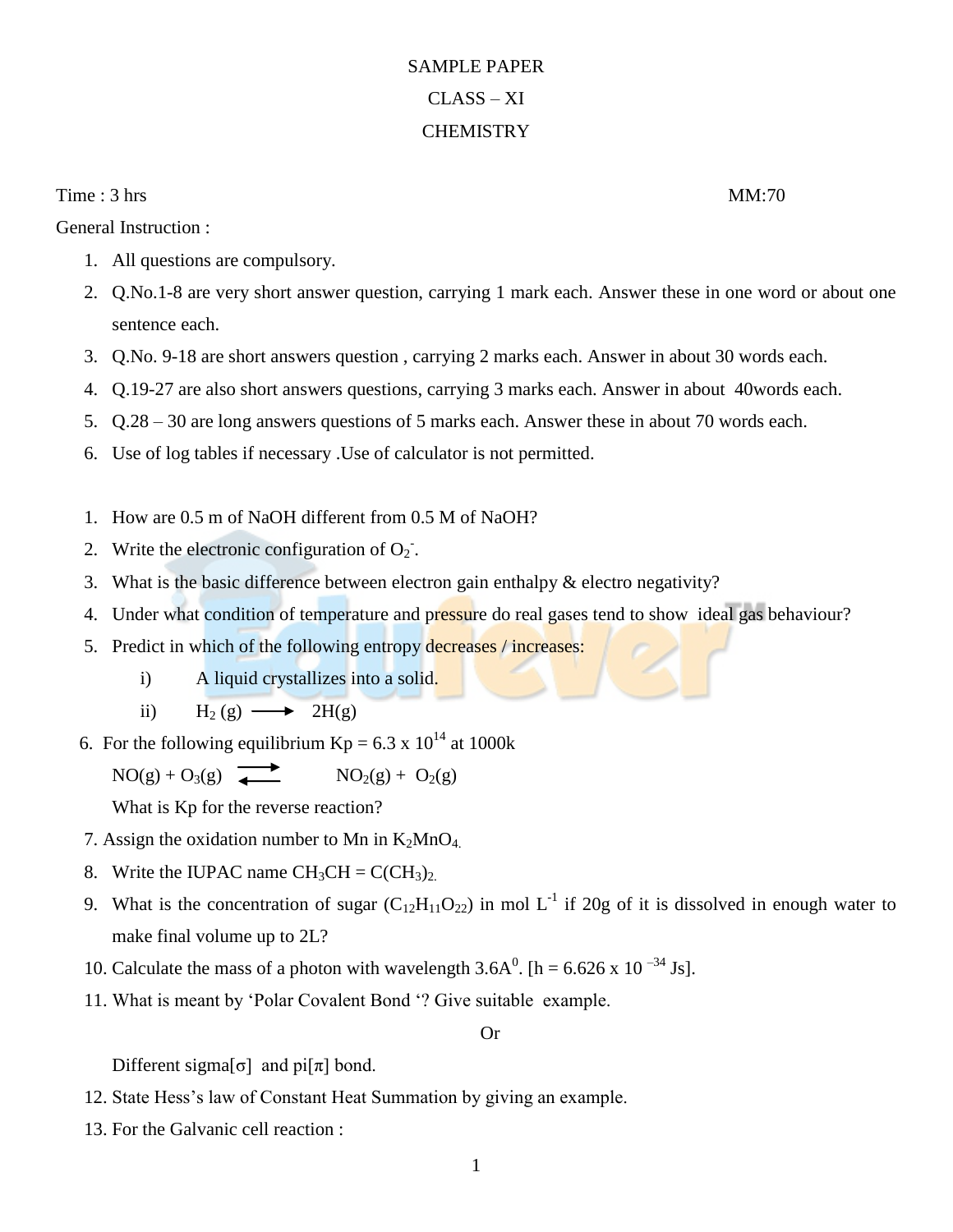## SAMPLE PAPER CLASS – XI **CHEMISTRY**

Time : 3 hrs MM:70

General Instruction :

- 1. All questions are compulsory.
- 2. Q.No.1-8 are very short answer question, carrying 1 mark each. Answer these in one word or about one sentence each.
- 3. Q.No. 9-18 are short answers question , carrying 2 marks each. Answer in about 30 words each.
- 4. Q.19-27 are also short answers questions, carrying 3 marks each. Answer in about 40words each.
- 5. Q.28 30 are long answers questions of 5 marks each. Answer these in about 70 words each.
- 6. Use of log tables if necessary .Use of calculator is not permitted.
- 1. How are 0.5 m of NaOH different from 0.5 M of NaOH?
- 2. Write the electronic configuration of  $O_2$ .
- 3. What is the basic difference between electron gain enthalpy & electro negativity?
- 4. Under what condition of temperature and pressure do real gases tend to show ideal gas behaviour?
- 5. Predict in which of the following entropy decreases / increases:
	- i) A liquid crystallizes into a solid.
	- ii)  $H_2(g) \longrightarrow 2H(g)$
- 6. For the following equilibrium  $Kp = 6.3 \times 10^{14}$  at 1000k

 $NO(g) + O_3(g)$   $\longrightarrow$   $NO_2(g) + O_2(g)$ 

What is Kp for the reverse reaction?

- 7. Assign the oxidation number to Mn in  $K_2MnO_4$ .
- 8. Write the IUPAC name  $CH_3CH = C(CH_3)_2$ .
- 9. What is the concentration of sugar  $(C_{12}H_{11}O_{22})$  in mol  $L^{-1}$  if 20g of it is dissolved in enough water to make final volume up to 2L?
- 10. Calculate the mass of a photon with wavelength  $3.6A^0$ . [h = 6.626 x 10<sup>-34</sup> Js].
- 11. What is meant by 'Polar Covalent Bond '? Give suitable example.

## Or

Different sigma[ $\sigma$ ] and pi[ $\pi$ ] bond.

- 12. State Hess's law of Constant Heat Summation by giving an example.
- 13. For the Galvanic cell reaction :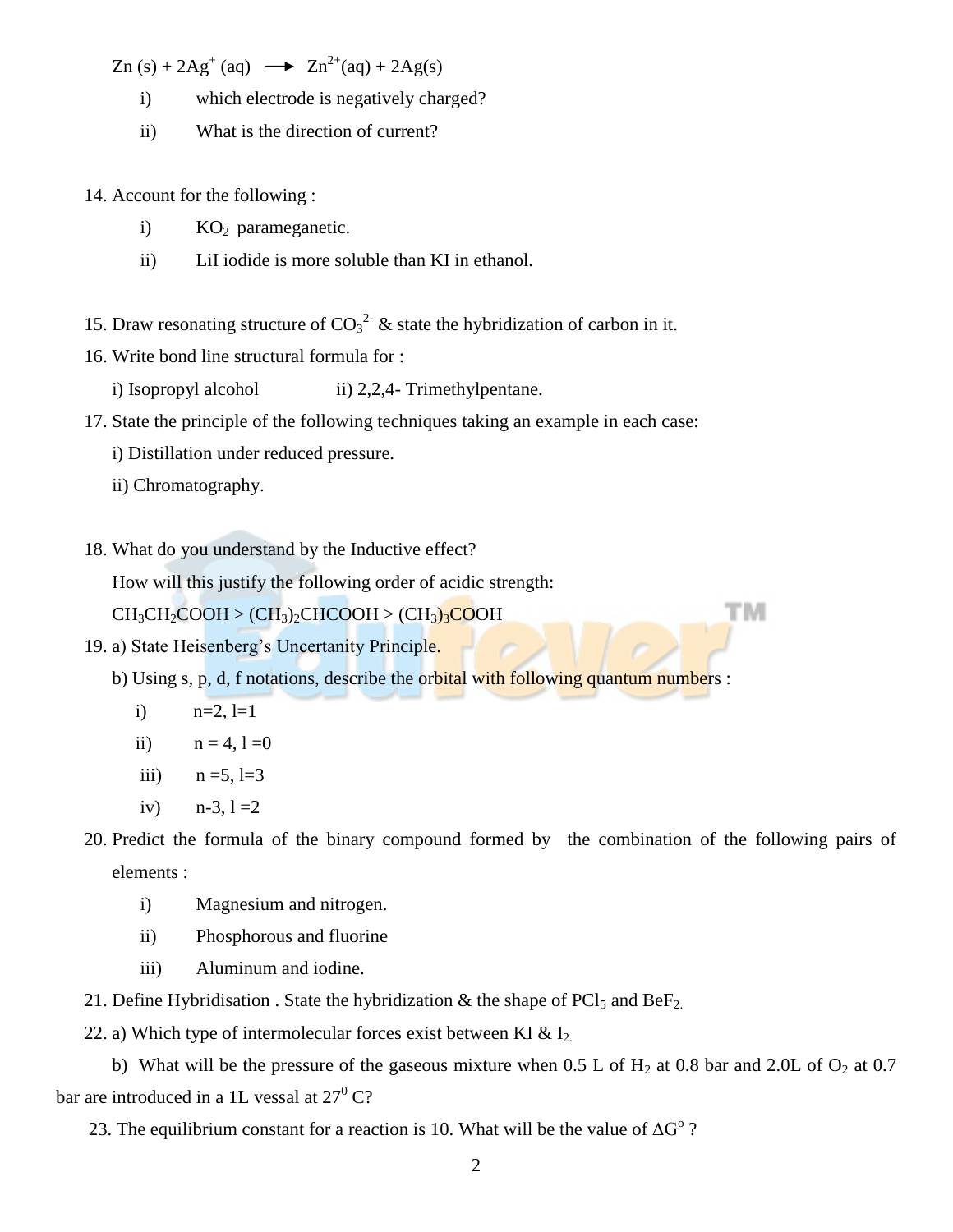$Zn (s) + 2Ag^{+}(aq) \rightarrow Zn^{2+}(aq) + 2Ag(s)$ 

- i) which electrode is negatively charged?
- ii) What is the direction of current?

14. Account for the following :

- i)  $KO<sub>2</sub>$  parameganetic.
- ii) LiI iodide is more soluble than KI in ethanol.
- 15. Draw resonating structure of  $CO_3^2$  & state the hybridization of carbon in it.

16. Write bond line structural formula for :

i) Isopropyl alcohol ii) 2,2,4- Trimethylpentane.

17. State the principle of the following techniques taking an example in each case:

i) Distillation under reduced pressure.

- ii) Chromatography.
- 18. What do you understand by the Inductive effect?

How will this justify the following order of acidic strength:

 $CH_3CH_2COOH > (CH_3)_2CHCOOH > (CH_3)_3COOH$ 

19. a) State Heisenberg's Uncertanity Principle.

b) Using s, p, d, f notations, describe the orbital with following quantum numbers :

- i)  $n=2, l=1$
- ii)  $n = 4, 1 = 0$
- iii)  $n = 5, l = 3$
- iv)  $n-3$ ,  $l = 2$
- 20. Predict the formula of the binary compound formed by the combination of the following pairs of elements :

тм

- i) Magnesium and nitrogen.
- ii) Phosphorous and fluorine
- iii) Aluminum and iodine.
- 21. Define Hybridisation . State the hybridization  $\&$  the shape of PCl<sub>5</sub> and BeF<sub>2.</sub>
- 22. a) Which type of intermolecular forces exist between KI &  $I_2$ .

b) What will be the pressure of the gaseous mixture when 0.5 L of  $H_2$  at 0.8 bar and 2.0L of  $O_2$  at 0.7 bar are introduced in a 1L vessal at  $27^{\circ}$  C?

23. The equilibrium constant for a reaction is 10. What will be the value of  $\Delta G^{\circ}$ ?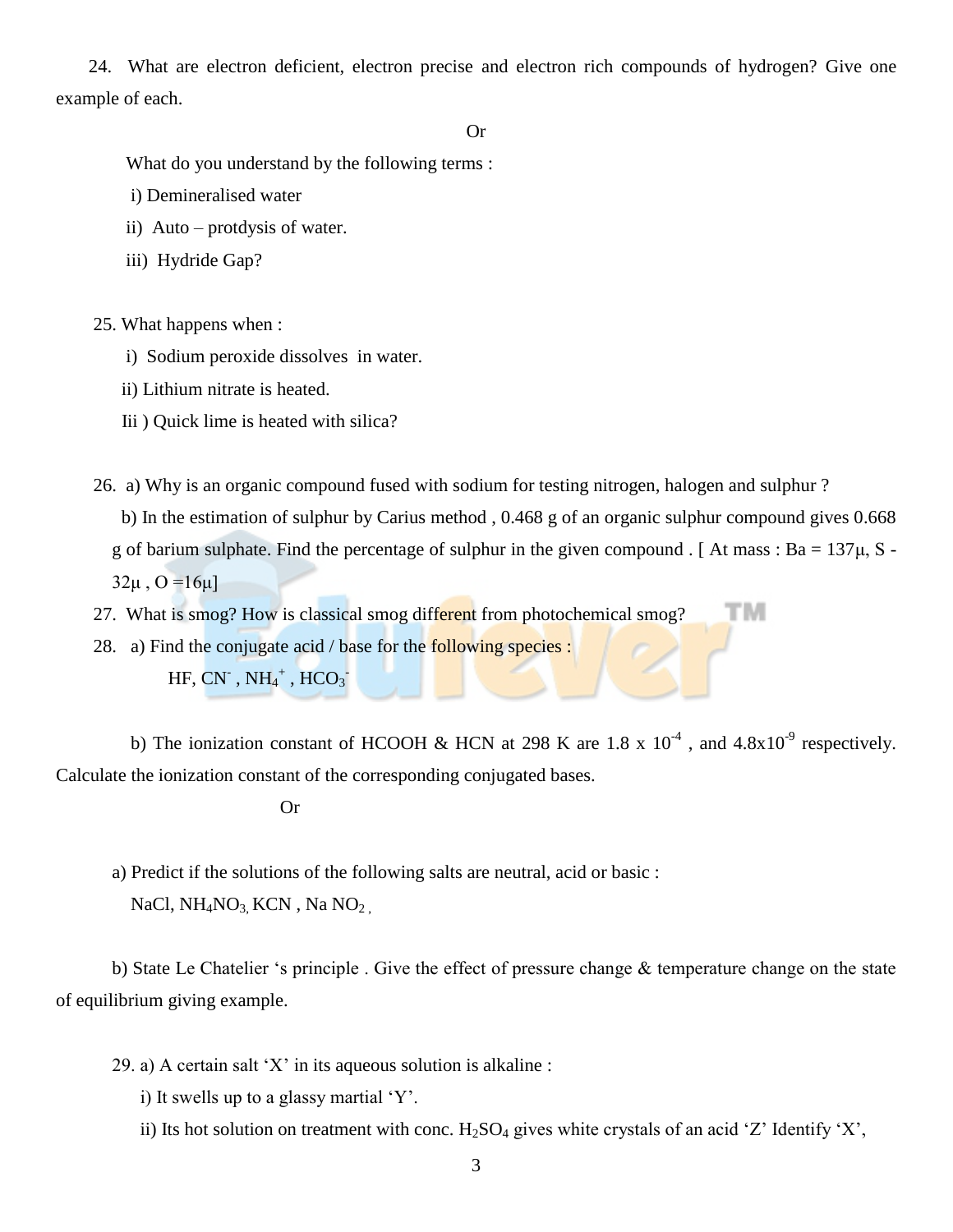24. What are electron deficient, electron precise and electron rich compounds of hydrogen? Give one example of each.

## Or

What do you understand by the following terms :

- i) Demineralised water
- ii) Auto protdysis of water.
- iii) Hydride Gap?

25. What happens when :

- i) Sodium peroxide dissolves in water.
- ii) Lithium nitrate is heated.
- Iii ) Quick lime is heated with silica?

26. a) Why is an organic compound fused with sodium for testing nitrogen, halogen and sulphur ?

 b) In the estimation of sulphur by Carius method , 0.468 g of an organic sulphur compound gives 0.668 g of barium sulphate. Find the percentage of sulphur in the given compound . [ At mass :  $Ba = 137\mu$ , S - $32\mu$ ,  $O = 16\mu$ ]

тм 27. What is smog? How is classical smog different from photochemical smog?

28. a) Find the conjugate acid / base for the following species :

 $HF, CN^-, NH_4^+, HCO_3^-$ 

b) The ionization constant of HCOOH & HCN at 298 K are 1.8 x  $10^{-4}$ , and  $4.8x10^{-9}$  respectively. Calculate the ionization constant of the corresponding conjugated bases.

Or

a) Predict if the solutions of the following salts are neutral, acid or basic : NaCl,  $NH<sub>4</sub>NO<sub>3</sub>$  KCN, Na NO<sub>2</sub>

b) State Le Chatelier 's principle . Give the effect of pressure change & temperature change on the state of equilibrium giving example.

- 29. a) A certain salt 'X' in its aqueous solution is alkaline :
	- i) It swells up to a glassy martial 'Y'.
	- ii) Its hot solution on treatment with conc.  $H_2SO_4$  gives white crystals of an acid 'Z' Identify 'X',